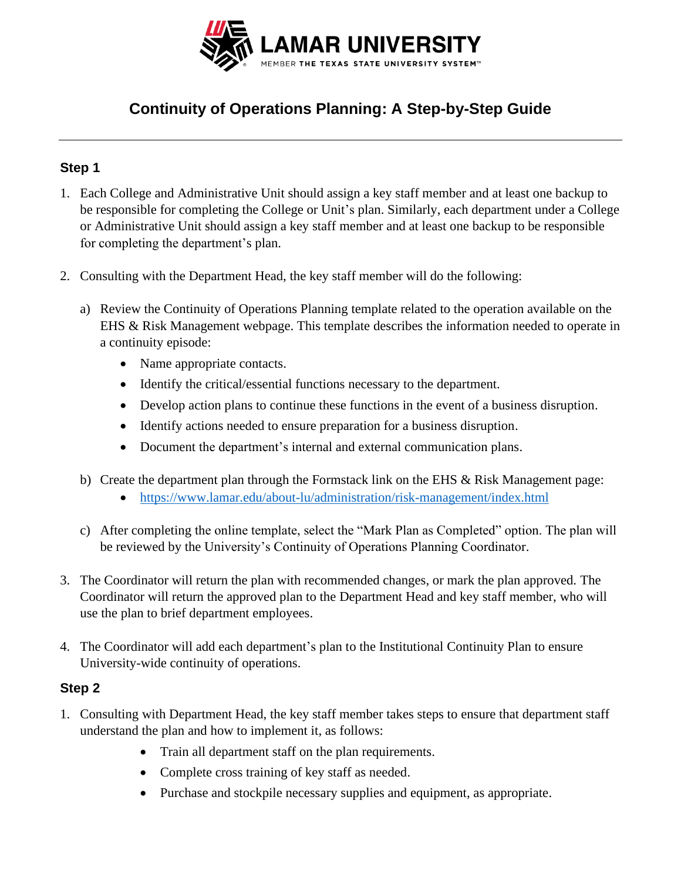

# **Continuity of Operations Planning: A Step-by-Step Guide**

## **Step 1**

- 1. Each College and Administrative Unit should assign a key staff member and at least one backup to be responsible for completing the College or Unit's plan. Similarly, each department under a College or Administrative Unit should assign a key staff member and at least one backup to be responsible for completing the department's plan.
- 2. Consulting with the Department Head, the key staff member will do the following:
	- a) Review the Continuity of Operations Planning template related to the operation available on the EHS & Risk Management webpage. This template describes the information needed to operate in a continuity episode:
		- Name appropriate contacts.
		- Identify the critical/essential functions necessary to the department.
		- Develop action plans to continue these functions in the event of a business disruption.
		- Identify actions needed to ensure preparation for a business disruption.
		- Document the department's internal and external communication plans.
	- b) Create the department plan through the Formstack link on the EHS & Risk Management page:
		- <https://www.lamar.edu/about-lu/administration/risk-management/index.html>
	- c) After completing the online template, select the "Mark Plan as Completed" option. The plan will be reviewed by the University's Continuity of Operations Planning Coordinator.
- 3. The Coordinator will return the plan with recommended changes, or mark the plan approved. The Coordinator will return the approved plan to the Department Head and key staff member, who will use the plan to brief department employees.
- 4. The Coordinator will add each department's plan to the Institutional Continuity Plan to ensure University-wide continuity of operations.

#### **Step 2**

- 1. Consulting with Department Head, the key staff member takes steps to ensure that department staff understand the plan and how to implement it, as follows:
	- Train all department staff on the plan requirements.
	- Complete cross training of key staff as needed.
	- Purchase and stockpile necessary supplies and equipment, as appropriate.